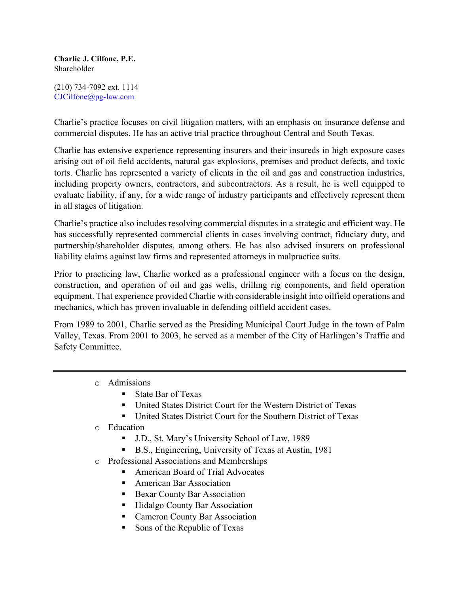## **Charlie J. Cilfone, P.E.** Shareholder

(210) 734-7092 ext. 1114 CJCilfone@pg-law.com

Charlie's practice focuses on civil litigation matters, with an emphasis on insurance defense and commercial disputes. He has an active trial practice throughout Central and South Texas.

Charlie has extensive experience representing insurers and their insureds in high exposure cases arising out of oil field accidents, natural gas explosions, premises and product defects, and toxic torts. Charlie has represented a variety of clients in the oil and gas and construction industries, including property owners, contractors, and subcontractors. As a result, he is well equipped to evaluate liability, if any, for a wide range of industry participants and effectively represent them in all stages of litigation.

Charlie's practice also includes resolving commercial disputes in a strategic and efficient way. He has successfully represented commercial clients in cases involving contract, fiduciary duty, and partnership/shareholder disputes, among others. He has also advised insurers on professional liability claims against law firms and represented attorneys in malpractice suits.

Prior to practicing law, Charlie worked as a professional engineer with a focus on the design, construction, and operation of oil and gas wells, drilling rig components, and field operation equipment. That experience provided Charlie with considerable insight into oilfield operations and mechanics, which has proven invaluable in defending oilfield accident cases.

From 1989 to 2001, Charlie served as the Presiding Municipal Court Judge in the town of Palm Valley, Texas. From 2001 to 2003, he served as a member of the City of Harlingen's Traffic and Safety Committee.

- o Admissions
	- State Bar of Texas
	- § United States District Court for the Western District of Texas
	- United States District Court for the Southern District of Texas
- o Education
	- J.D., St. Mary's University School of Law, 1989
	- B.S., Engineering, University of Texas at Austin, 1981
- o Professional Associations and Memberships
	- American Board of Trial Advocates
	- American Bar Association
	- Bexar County Bar Association
	- Hidalgo County Bar Association
	- § Cameron County Bar Association
	- Sons of the Republic of Texas